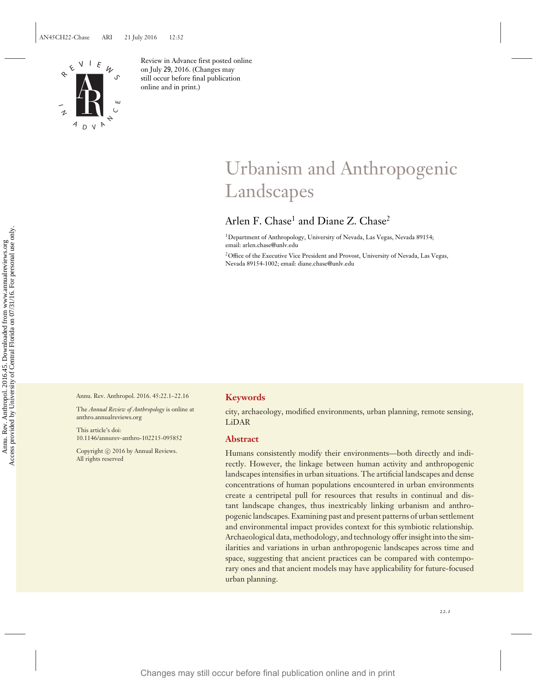

Review in Advance first posted online on July 29, 2016. (Changes may still occur before final publication online and in print.)

# Urbanism and Anthropogenic Landscapes

# Arlen F. Chase<sup>1</sup> and Diane Z. Chase<sup>2</sup>

<sup>1</sup>Department of Anthropology, University of Nevada, Las Vegas, Nevada 89154; email: arlen.chase@unlv.edu

2Office of the Executive Vice President and Provost, University of Nevada, Las Vegas, Nevada 89154-1002; email: diane.chase@unlv.edu

Annu. Rev. Anthropol. 2016. 45:22.1–22.16

The *Annual Review of Anthropology* is online at anthro.annualreviews.org

This article's doi: 10.1146/annurev-anthro-102215-095852

Copyright © 2016 by Annual Reviews. All rights reserved

# **Keywords**

city, archaeology, modified environments, urban planning, remote sensing, LiDAR

# **Abstract**

Humans consistently modify their environments—both directly and indirectly. However, the linkage between human activity and anthropogenic landscapes intensifies in urban situations. The artificial landscapes and dense concentrations of human populations encountered in urban environments create a centripetal pull for resources that results in continual and distant landscape changes, thus inextricably linking urbanism and anthropogenic landscapes. Examining past and present patterns of urban settlement and environmental impact provides context for this symbiotic relationship. Archaeological data, methodology, and technology offer insight into the similarities and variations in urban anthropogenic landscapes across time and space, suggesting that ancient practices can be compared with contemporary ones and that ancient models may have applicability for future-focused urban planning. Changes may still occur before final publication online and in print<br>
Changes may still occur before from www.annual publication of Central publication on the changes of Central Florida online and provides on the changes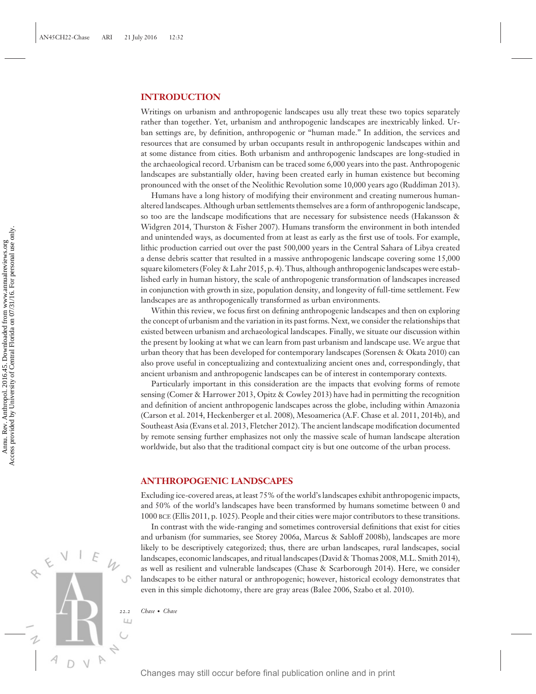# **INTRODUCTION**

Writings on urbanism and anthropogenic landscapes usu ally treat these two topics separately rather than together. Yet, urbanism and anthropogenic landscapes are inextricably linked. Urban settings are, by definition, anthropogenic or "human made." In addition, the services and resources that are consumed by urban occupants result in anthropogenic landscapes within and at some distance from cities. Both urbanism and anthropogenic landscapes are long-studied in the archaeological record. Urbanism can be traced some 6,000 years into the past. Anthropogenic landscapes are substantially older, having been created early in human existence but becoming pronounced with the onset of the Neolithic Revolution some 10,000 years ago (Ruddiman 2013).

Humans have a long history of modifying their environment and creating numerous humanaltered landscapes. Although urban settlements themselves are a form of anthropogenic landscape, so too are the landscape modifications that are necessary for subsistence needs (Hakansson & Widgren 2014, Thurston & Fisher 2007). Humans transform the environment in both intended and unintended ways, as documented from at least as early as the first use of tools. For example, lithic production carried out over the past 500,000 years in the Central Sahara of Libya created a dense debris scatter that resulted in a massive anthropogenic landscape covering some 15,000 square kilometers (Foley & Lahr 2015, p. 4). Thus, although anthropogenic landscapes were established early in human history, the scale of anthropogenic transformation of landscapes increased in conjunction with growth in size, population density, and longevity of full-time settlement. Few landscapes are as anthropogenically transformed as urban environments. Changes may still occur before final publication online and in print Annual publication on the state of the state of the state of the state of the state of the state of the state of the state of the state of the state of

Within this review, we focus first on defining anthropogenic landscapes and then on exploring the concept of urbanism and the variation in its past forms. Next, we consider the relationships that existed between urbanism and archaeological landscapes. Finally, we situate our discussion within the present by looking at what we can learn from past urbanism and landscape use. We argue that urban theory that has been developed for contemporary landscapes (Sorensen & Okata 2010) can also prove useful in conceptualizing and contextualizing ancient ones and, correspondingly, that ancient urbanism and anthropogenic landscapes can be of interest in contemporary contexts.

Particularly important in this consideration are the impacts that evolving forms of remote sensing (Comer & Harrower 2013, Opitz & Cowley 2013) have had in permitting the recognition and definition of ancient anthropogenic landscapes across the globe, including within Amazonia (Carson et al. 2014, Heckenberger et al. 2008), Mesoamerica (A.F. Chase et al. 2011, 2014b), and Southeast Asia (Evans et al. 2013, Fletcher 2012). The ancient landscape modification documented by remote sensing further emphasizes not only the massive scale of human landscape alteration worldwide, but also that the traditional compact city is but one outcome of the urban process.

#### **ANTHROPOGENIC LANDSCAPES**

Excluding ice-covered areas, at least 75% of the world's landscapes exhibit anthropogenic impacts, and 50% of the world's landscapes have been transformed by humans sometime between 0 and 1000 BCE (Ellis 2011, p. 1025). People and their cities were major contributors to these transitions.

In contrast with the wide-ranging and sometimes controversial definitions that exist for cities and urbanism (for summaries, see Storey 2006a, Marcus & Sabloff 2008b), landscapes are more likely to be descriptively categorized; thus, there are urban landscapes, rural landscapes, social landscapes, economic landscapes, and ritual landscapes (David & Thomas 2008, M.L. Smith 2014), as well as resilient and vulnerable landscapes (Chase & Scarborough 2014). Here, we consider landscapes to be either natural or anthropogenic; however, historical ecology demonstrates that even in this simple dichotomy, there are gray areas (Balee 2006, Szabo et al. 2010).

*22.2 Chase* · *Chase*

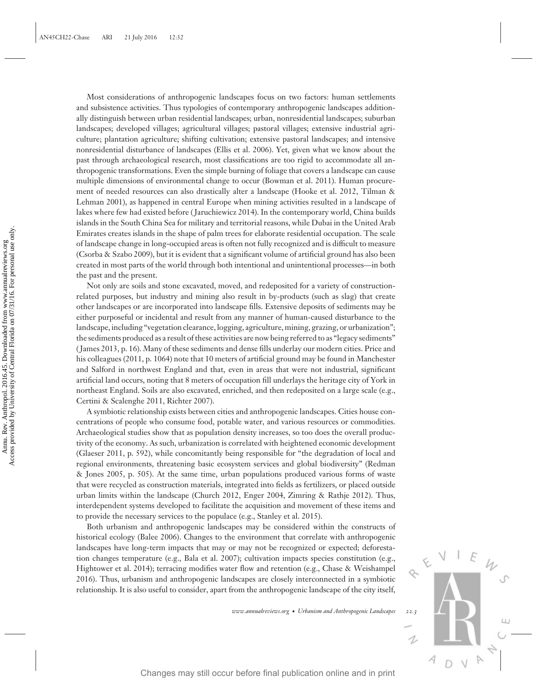Most considerations of anthropogenic landscapes focus on two factors: human settlements and subsistence activities. Thus typologies of contemporary anthropogenic landscapes additionally distinguish between urban residential landscapes; urban, nonresidential landscapes; suburban landscapes; developed villages; agricultural villages; pastoral villages; extensive industrial agriculture; plantation agriculture; shifting cultivation; extensive pastoral landscapes; and intensive nonresidential disturbance of landscapes (Ellis et al. 2006). Yet, given what we know about the past through archaeological research, most classifications are too rigid to accommodate all anthropogenic transformations. Even the simple burning of foliage that covers a landscape can cause multiple dimensions of environmental change to occur (Bowman et al. 2011). Human procurement of needed resources can also drastically alter a landscape (Hooke et al. 2012, Tilman & Lehman 2001), as happened in central Europe when mining activities resulted in a landscape of lakes where few had existed before ( Jaruchiewicz 2014). In the contemporary world, China builds islands in the South China Sea for military and territorial reasons, while Dubai in the United Arab Emirates creates islands in the shape of palm trees for elaborate residential occupation. The scale of landscape change in long-occupied areas is often not fully recognized and is difficult to measure (Csorba & Szabo 2009), but it is evident that a significant volume of artificial ground has also been created in most parts of the world through both intentional and unintentional processes—in both the past and the present.

Not only are soils and stone excavated, moved, and redeposited for a variety of constructionrelated purposes, but industry and mining also result in by-products (such as slag) that create other landscapes or are incorporated into landscape fills. Extensive deposits of sediments may be either purposeful or incidental and result from any manner of human-caused disturbance to the landscape, including "vegetation clearance, logging, agriculture, mining, grazing, or urbanization"; the sediments produced as a result of these activities are now being referred to as "legacy sediments" ( James 2013, p. 16). Many of these sediments and dense fills underlay our modern cities. Price and his colleagues (2011, p. 1064) note that 10 meters of artificial ground may be found in Manchester and Salford in northwest England and that, even in areas that were not industrial, significant artificial land occurs, noting that 8 meters of occupation fill underlays the heritage city of York in northeast England. Soils are also excavated, enriched, and then redeposited on a large scale (e.g., Certini & Scalenghe 2011, Richter 2007). Examine to the state of point of the state of publication of the state of the state of the state of the state of the state of the state of the state of the state of the state of the state of the state of the state of the

A symbiotic relationship exists between cities and anthropogenic landscapes. Cities house concentrations of people who consume food, potable water, and various resources or commodities. Archaeological studies show that as population density increases, so too does the overall productivity of the economy. As such, urbanization is correlated with heightened economic development (Glaeser 2011, p. 592), while concomitantly being responsible for "the degradation of local and regional environments, threatening basic ecosystem services and global biodiversity" (Redman & Jones 2005, p. 505). At the same time, urban populations produced various forms of waste that were recycled as construction materials, integrated into fields as fertilizers, or placed outside urban limits within the landscape (Church 2012, Enger 2004, Zimring & Rathje 2012). Thus, interdependent systems developed to facilitate the acquisition and movement of these items and to provide the necessary services to the populace (e.g., Stanley et al. 2015).

Both urbanism and anthropogenic landscapes may be considered within the constructs of historical ecology (Balee 2006). Changes to the environment that correlate with anthropogenic landscapes have long-term impacts that may or may not be recognized or expected; deforestation changes temperature (e.g., Bala et al. 2007); cultivation impacts species constitution (e.g., Hightower et al. 2014); terracing modifies water flow and retention (e.g., Chase & Weishampel 2016). Thus, urbanism and anthropogenic landscapes are closely interconnected in a symbiotic relationship. It is also useful to consider, apart from the anthropogenic landscape of the city itself,

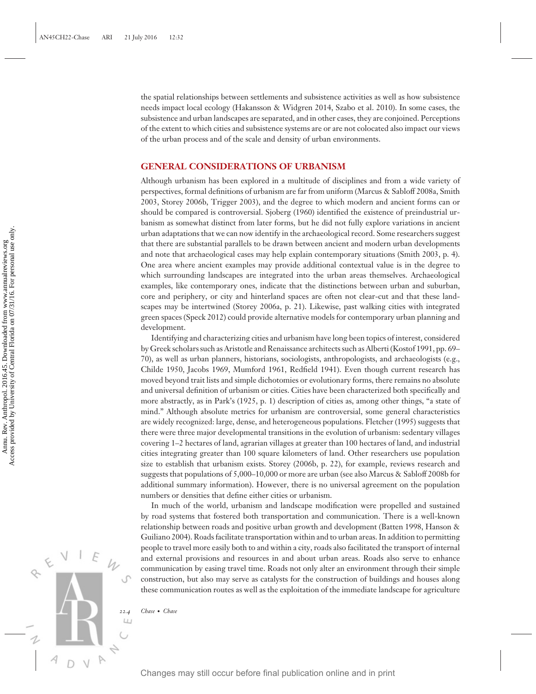the spatial relationships between settlements and subsistence activities as well as how subsistence needs impact local ecology (Hakansson & Widgren 2014, Szabo et al. 2010). In some cases, the subsistence and urban landscapes are separated, and in other cases, they are conjoined. Perceptions of the extent to which cities and subsistence systems are or are not colocated also impact our views of the urban process and of the scale and density of urban environments.

#### **GENERAL CONSIDERATIONS OF URBANISM**

Although urbanism has been explored in a multitude of disciplines and from a wide variety of perspectives, formal definitions of urbanism are far from uniform (Marcus & Sabloff 2008a, Smith 2003, Storey 2006b, Trigger 2003), and the degree to which modern and ancient forms can or should be compared is controversial. Sjoberg (1960) identified the existence of preindustrial urbanism as somewhat distinct from later forms, but he did not fully explore variations in ancient urban adaptations that we can now identify in the archaeological record. Some researchers suggest that there are substantial parallels to be drawn between ancient and modern urban developments and note that archaeological cases may help explain contemporary situations (Smith 2003, p. 4). One area where ancient examples may provide additional contextual value is in the degree to which surrounding landscapes are integrated into the urban areas themselves. Archaeological examples, like contemporary ones, indicate that the distinctions between urban and suburban, core and periphery, or city and hinterland spaces are often not clear-cut and that these landscapes may be intertwined (Storey 2006a, p. 21). Likewise, past walking cities with integrated green spaces (Speck 2012) could provide alternative models for contemporary urban planning and development.

Identifying and characterizing cities and urbanism have long been topics of interest, considered by Greek scholars such as Aristotle and Renaissance architects such as Alberti (Kostof 1991, pp. 69– 70), as well as urban planners, historians, sociologists, anthropologists, and archaeologists (e.g., Childe 1950, Jacobs 1969, Mumford 1961, Redfield 1941). Even though current research has moved beyond trait lists and simple dichotomies or evolutionary forms, there remains no absolute and universal definition of urbanism or cities. Cities have been characterized both specifically and more abstractly, as in Park's (1925, p. 1) description of cities as, among other things, "a state of mind." Although absolute metrics for urbanism are controversial, some general characteristics are widely recognized: large, dense, and heterogeneous populations. Fletcher (1995) suggests that there were three major developmental transitions in the evolution of urbanism: sedentary villages covering 1–2 hectares of land, agrarian villages at greater than 100 hectares of land, and industrial cities integrating greater than 100 square kilometers of land. Other researchers use population size to establish that urbanism exists. Storey (2006b, p. 22), for example, reviews research and suggests that populations of 5,000–10,000 or more are urban (see also Marcus & Sabloff 2008b for additional summary information). However, there is no universal agreement on the population numbers or densities that define either cities or urbanism. Changes may still occur before final publication on the state and in the state of the state of the state of the state of the state of the state of the state of the state of the state of the state of the state of the state

In much of the world, urbanism and landscape modification were propelled and sustained by road systems that fostered both transportation and communication. There is a well-known relationship between roads and positive urban growth and development (Batten 1998, Hanson & Guiliano 2004). Roads facilitate transportation within and to urban areas. In addition to permitting people to travel more easily both to and within a city, roads also facilitated the transport of internal and external provisions and resources in and about urban areas. Roads also serve to enhance communication by easing travel time. Roads not only alter an environment through their simple construction, but also may serve as catalysts for the construction of buildings and houses along these communication routes as well as the exploitation of the immediate landscape for agriculture

*22.4 Chase* · *Chase*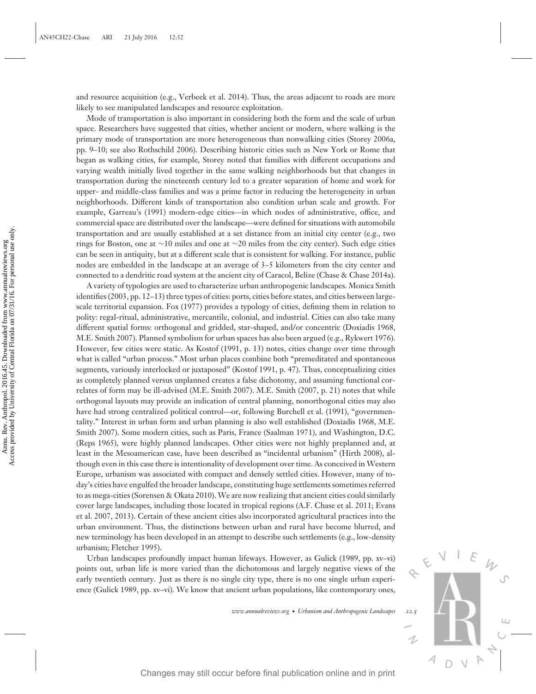and resource acquisition (e.g., Verbeek et al. 2014). Thus, the areas adjacent to roads are more likely to see manipulated landscapes and resource exploitation.

Mode of transportation is also important in considering both the form and the scale of urban space. Researchers have suggested that cities, whether ancient or modern, where walking is the primary mode of transportation are more heterogeneous than nonwalking cities (Storey 2006a, pp. 9–10; see also Rothschild 2006). Describing historic cities such as New York or Rome that began as walking cities, for example, Storey noted that families with different occupations and varying wealth initially lived together in the same walking neighborhoods but that changes in transportation during the nineteenth century led to a greater separation of home and work for upper- and middle-class families and was a prime factor in reducing the heterogeneity in urban neighborhoods. Different kinds of transportation also condition urban scale and growth. For example, Garreau's (1991) modern-edge cities—in which nodes of administrative, office, and commercial space are distributed over the landscape—were defined for situations with automobile transportation and are usually established at a set distance from an initial city center (e.g., two rings for Boston, one at ∼10 miles and one at ∼20 miles from the city center). Such edge cities can be seen in antiquity, but at a different scale that is consistent for walking. For instance, public nodes are embedded in the landscape at an average of 3–5 kilometers from the city center and connected to a dendritic road system at the ancient city of Caracol, Belize (Chase & Chase 2014a).

A variety of typologies are used to characterize urban anthropogenic landscapes. Monica Smith identifies (2003, pp. 12–13) three types of cities: ports, cities before states, and cities between largescale territorial expansion. Fox (1977) provides a typology of cities, defining them in relation to polity: regal-ritual, administrative, mercantile, colonial, and industrial. Cities can also take many different spatial forms: orthogonal and gridded, star-shaped, and/or concentric (Doxiadis 1968, M.E. Smith 2007). Planned symbolism for urban spaces has also been argued (e.g., Rykwert 1976). However, few cities were static. As Kostof (1991, p. 13) notes, cities change over time through what is called "urban process." Most urban places combine both "premeditated and spontaneous segments, variously interlocked or juxtaposed" (Kostof 1991, p. 47). Thus, conceptualizing cities as completely planned versus unplanned creates a false dichotomy, and assuming functional correlates of form may be ill-advised (M.E. Smith 2007). M.E. Smith (2007, p. 21) notes that while orthogonal layouts may provide an indication of central planning, nonorthogonal cities may also have had strong centralized political control—or, following Burchell et al. (1991), "governmentality." Interest in urban form and urban planning is also well established (Doxiadis 1968, M.E. Smith 2007). Some modern cities, such as Paris, France (Saalman 1971), and Washington, D.C. (Reps 1965), were highly planned landscapes. Other cities were not highly preplanned and, at least in the Mesoamerican case, have been described as "incidental urbanism" (Hirth 2008), although even in this case there is intentionality of development over time. As conceived in Western Europe, urbanism was associated with compact and densely settled cities. However, many of today's cities have engulfed the broader landscape, constituting huge settlements sometimes referred to as mega-cities (Sorensen & Okata 2010). We are now realizing that ancient cities could similarly cover large landscapes, including those located in tropical regions (A.F. Chase et al. 2011; Evans et al. 2007, 2013). Certain of these ancient cities also incorporated agricultural practices into the urban environment. Thus, the distinctions between urban and rural have become blurred, and new terminology has been developed in an attempt to describe such settlements (e.g., low-density urbanism; Fletcher 1995). The state of the controlline online to the state of the state of the state in the state of the state of the state in the state of the state in the state in the state in the state in the state in the state in the state in

Urban landscapes profoundly impact human lifeways. However, as Gulick (1989, pp. xv-vi) points out, urban life is more varied than the dichotomous and largely negative views of the early twentieth century. Just as there is no single city type, there is no one single urban experience (Gulick 1989, pp. xv–vi). We know that ancient urban populations, like contemporary ones,

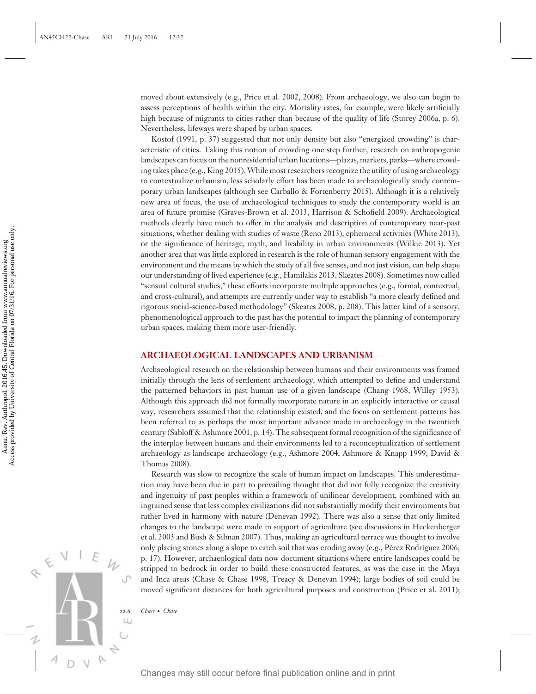moved about extensively (e.g., Price et al. 2002, 2008). From archaeology, we also can begin to assess perceptions of health within the city. Mortality rates, for example, were likely artificially high because of migrants to cities rather than because of the quality of life (Storey 2006a, p. 6). Nevertheless, lifeways were shaped by urban spaces.

Kostof (1991, p. 37) suggested that not only density but also "energized crowding" is characteristic of cities. Taking this notion of crowding one step further, research on anthropogenic landscapes can focus on the nonresidential urban locations—plazas, markets, parks—where crowding takes place (e.g., King 2015). While most researchers recognize the utility of using archaeology to contextualize urbanism, less scholarly effort has been made to archaeologically study contemporary urban landscapes (although see Carballo & Fortenberry 2015). Although it is a relatively new area of focus, the use of archaeological techniques to study the contemporary world is an area of future promise (Graves-Brown et al. 2013, Harrison & Schofield 2009). Archaeological methods clearly have much to offer in the analysis and description of contemporary near-past situations, whether dealing with studies of waste (Reno 2013), ephemeral activities (White 2013), or the significance of heritage, myth, and livability in urban environments (Wilkie 2013). Yet another area that was little explored in research is the role of human sensory engagement with the environment and the means by which the study of all five senses, and not just vision, can help shape our understanding of lived experience (e.g., Hamilakis 2013, Skeates 2008). Sometimes now called "sensual cultural studies," these efforts incorporate multiple approaches (e.g., formal, contextual, and cross-cultural), and attempts are currently under way to establish "a more clearly defined and rigorous social-science-based methodology" (Skeates 2008, p. 208). This latter kind of a sensory, phenomenological approach to the past has the potential to impact the planning of contemporary urban spaces, making them more user-friendly.

# **ARCHAEOLOGICAL LANDSCAPES AND URBANISM**

Archaeological research on the relationship between humans and their environments was framed initially through the lens of settlement archaeology, which attempted to define and understand the patterned behaviors in past human use of a given landscape (Chang 1968, Willey 1953). Although this approach did not formally incorporate nature in an explicitly interactive or causal way, researchers assumed that the relationship existed, and the focus on settlement patterns has been referred to as perhaps the most important advance made in archaeology in the twentieth century (Sabloff & Ashmore 2001, p. 14). The subsequent formal recognition of the significance of the interplay between humans and their environments led to a reconceptualization of settlement archaeology as landscape archaeology (e.g., Ashmore 2004, Ashmore & Knapp 1999, David & Thomas 2008).

Research was slow to recognize the scale of human impact on landscapes. This underestimation may have been due in part to prevailing thought that did not fully recognize the creativity and ingenuity of past peoples within a framework of unilinear development, combined with an ingrained sense that less complex civilizations did not substantially modify their environments but rather lived in harmony with nature (Denevan 1992). There was also a sense that only limited changes to the landscape were made in support of agriculture (see discussions in Heckenberger et al. 2003 and Bush & Silman 2007). Thus, making an agricultural terrace was thought to involve only placing stones along a slope to catch soil that was eroding away (e.g., Pérez Rodríguez 2006, p. 17). However, archaeological data now document situations where entire landscapes could be stripped to bedrock in order to build these constructed features, as was the case in the Maya and Inca areas (Chase & Chase 1998, Treacy & Denevan 1994); large bodies of soil could be moved significant distances for both agricultural purposes and construction (Price et al. 2011); Station of the signification of heritography and including twith an end in the significant and the significant and the significant and the signification of the signification of the signification of the signification of Co

*22.6 Chase* · *Chase*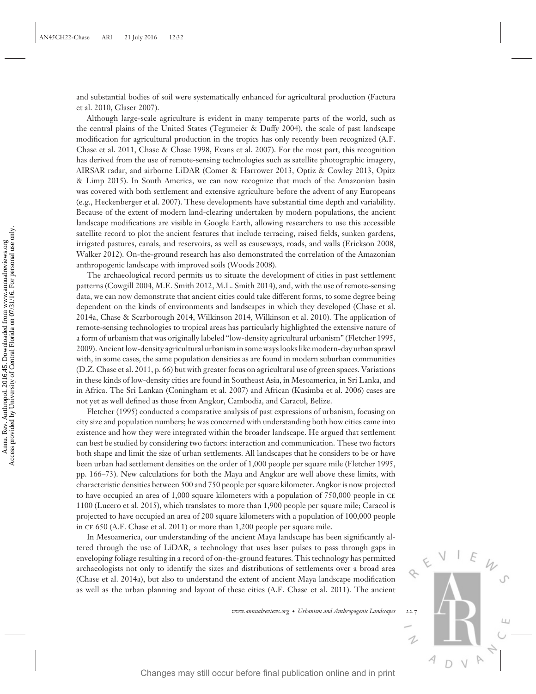and substantial bodies of soil were systematically enhanced for agricultural production (Factura et al. 2010, Glaser 2007).

Although large-scale agriculture is evident in many temperate parts of the world, such as the central plains of the United States (Tegtmeier & Duffy 2004), the scale of past landscape modification for agricultural production in the tropics has only recently been recognized (A.F. Chase et al. 2011, Chase & Chase 1998, Evans et al. 2007). For the most part, this recognition has derived from the use of remote-sensing technologies such as satellite photographic imagery, AIRSAR radar, and airborne LiDAR (Comer & Harrower 2013, Optiz & Cowley 2013, Opitz & Limp 2015). In South America, we can now recognize that much of the Amazonian basin was covered with both settlement and extensive agriculture before the advent of any Europeans (e.g., Heckenberger et al. 2007). These developments have substantial time depth and variability. Because of the extent of modern land-clearing undertaken by modern populations, the ancient landscape modifications are visible in Google Earth, allowing researchers to use this accessible satellite record to plot the ancient features that include terracing, raised fields, sunken gardens, irrigated pastures, canals, and reservoirs, as well as causeways, roads, and walls (Erickson 2008, Walker 2012). On-the-ground research has also demonstrated the correlation of the Amazonian anthropogenic landscape with improved soils (Woods 2008).

The archaeological record permits us to situate the development of cities in past settlement patterns (Cowgill 2004, M.E. Smith 2012, M.L. Smith 2014), and, with the use of remote-sensing data, we can now demonstrate that ancient cities could take different forms, to some degree being dependent on the kinds of environments and landscapes in which they developed (Chase et al. 2014a, Chase & Scarborough 2014, Wilkinson 2014, Wilkinson et al. 2010). The application of remote-sensing technologies to tropical areas has particularly highlighted the extensive nature of a form of urbanism that was originally labeled "low-density agricultural urbanism" (Fletcher 1995, 2009). Ancient low-density agricultural urbanism in some ways looks like modern-day urban sprawl with, in some cases, the same population densities as are found in modern suburban communities (D.Z. Chase et al. 2011, p. 66) but with greater focus on agricultural use of green spaces. Variations in these kinds of low-density cities are found in Southeast Asia, in Mesoamerica, in Sri Lanka, and in Africa. The Sri Lankan (Coningham et al. 2007) and African (Kusimba et al. 2006) cases are not yet as well defined as those from Angkor, Cambodia, and Caracol, Belize. still occur before the studies of the anti-molecular controllers. This technology is the propagation of the Annuarities of the Annual publication of the Annuarities of the propagation of the Annuarities of the Annual publ

Fletcher (1995) conducted a comparative analysis of past expressions of urbanism, focusing on city size and population numbers; he was concerned with understanding both how cities came into existence and how they were integrated within the broader landscape. He argued that settlement can best be studied by considering two factors: interaction and communication. These two factors both shape and limit the size of urban settlements. All landscapes that he considers to be or have been urban had settlement densities on the order of 1,000 people per square mile (Fletcher 1995, pp. 166–73). New calculations for both the Maya and Angkor are well above these limits, with characteristic densities between 500 and 750 people per square kilometer. Angkor is now projected to have occupied an area of 1,000 square kilometers with a population of 750,000 people in CE 1100 (Lucero et al. 2015), which translates to more than 1,900 people per square mile; Caracol is projected to have occupied an area of 200 square kilometers with a population of 100,000 people in CE 650 (A.F. Chase et al. 2011) or more than 1,200 people per square mile.

In Mesoamerica, our understanding of the ancient Maya landscape has been significantly altered through the use of LiDAR, a technology that uses laser pulses to pass through gaps in enveloping foliage resulting in a record of on-the-ground features. This technology has permitted archaeologists not only to identify the sizes and distributions of settlements over a broad area (Chase et al. 2014a), but also to understand the extent of ancient Maya landscape modification as well as the urban planning and layout of these cities (A.F. Chase et al. 2011). The ancient

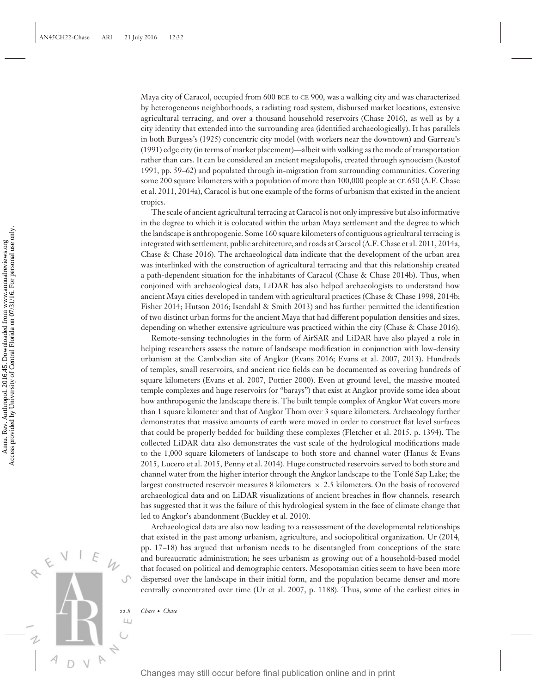Maya city of Caracol, occupied from 600 BCE to CE 900, was a walking city and was characterized by heterogeneous neighborhoods, a radiating road system, disbursed market locations, extensive agricultural terracing, and over a thousand household reservoirs (Chase 2016), as well as by a city identity that extended into the surrounding area (identified archaeologically). It has parallels in both Burgess's (1925) concentric city model (with workers near the downtown) and Garreau's (1991) edge city (in terms of market placement)—albeit with walking as the mode of transportation rather than cars. It can be considered an ancient megalopolis, created through synoecism (Kostof 1991, pp. 59–62) and populated through in-migration from surrounding communities. Covering some 200 square kilometers with a population of more than 100,000 people at CE 650 (A.F. Chase et al. 2011, 2014a), Caracol is but one example of the forms of urbanism that existed in the ancient tropics.

The scale of ancient agricultural terracing at Caracol is not only impressive but also informative in the degree to which it is colocated within the urban Maya settlement and the degree to which the landscape is anthropogenic. Some 160 square kilometers of contiguous agricultural terracing is integrated with settlement, public architecture, and roads at Caracol (A.F. Chase et al. 2011, 2014a, Chase & Chase 2016). The archaeological data indicate that the development of the urban area was interlinked with the construction of agricultural terracing and that this relationship created a path-dependent situation for the inhabitants of Caracol (Chase & Chase 2014b). Thus, when conjoined with archaeological data, LiDAR has also helped archaeologists to understand how ancient Maya cities developed in tandem with agricultural practices (Chase & Chase 1998, 2014b; Fisher 2014; Hutson 2016; Isendahl & Smith 2013) and has further permitted the identification of two distinct urban forms for the ancient Maya that had different population densities and sizes, depending on whether extensive agriculture was practiced within the city (Chase & Chase 2016).

Remote-sensing technologies in the form of AirSAR and LiDAR have also played a role in helping researchers assess the nature of landscape modification in conjunction with low-density urbanism at the Cambodian site of Angkor (Evans 2016; Evans et al. 2007, 2013). Hundreds of temples, small reservoirs, and ancient rice fields can be documented as covering hundreds of square kilometers (Evans et al. 2007, Pottier 2000). Even at ground level, the massive moated temple complexes and huge reservoirs (or "barays") that exist at Angkor provide some idea about how anthropogenic the landscape there is. The built temple complex of Angkor Wat covers more than 1 square kilometer and that of Angkor Thom over 3 square kilometers. Archaeology further demonstrates that massive amounts of earth were moved in order to construct flat level surfaces that could be properly bedded for building these complexes (Fletcher et al. 2015, p. 1394). The collected LiDAR data also demonstrates the vast scale of the hydrological modifications made to the 1,000 square kilometers of landscape to both store and channel water (Hanus & Evans 2015, Lucero et al. 2015, Penny et al. 2014). Huge constructed reservoirs served to both store and channel water from the higher interior through the Angkor landscape to the Tonle Sap Lake; the ´ largest constructed reservoir measures 8 kilometers  $\times$  2.5 kilometers. On the basis of recovered archaeological data and on LiDAR visualizations of ancient breaches in flow channels, research has suggested that it was the failure of this hydrological system in the face of climate change that led to Angkor's abandonment (Buckley et al. 2010). Changes may still occur before final publication of the internal publication of the state of Contral publication of Central publication of Central publication of Central publication of Central publication of Central publi

Archaeological data are also now leading to a reassessment of the developmental relationships that existed in the past among urbanism, agriculture, and sociopolitical organization. Ur (2014, pp. 17–18) has argued that urbanism needs to be disentangled from conceptions of the state and bureaucratic administration; he sees urbanism as growing out of a household-based model that focused on political and demographic centers. Mesopotamian cities seem to have been more dispersed over the landscape in their initial form, and the population became denser and more centrally concentrated over time (Ur et al. 2007, p. 1188). Thus, some of the earliest cities in

*22.8 Chase* · *Chase*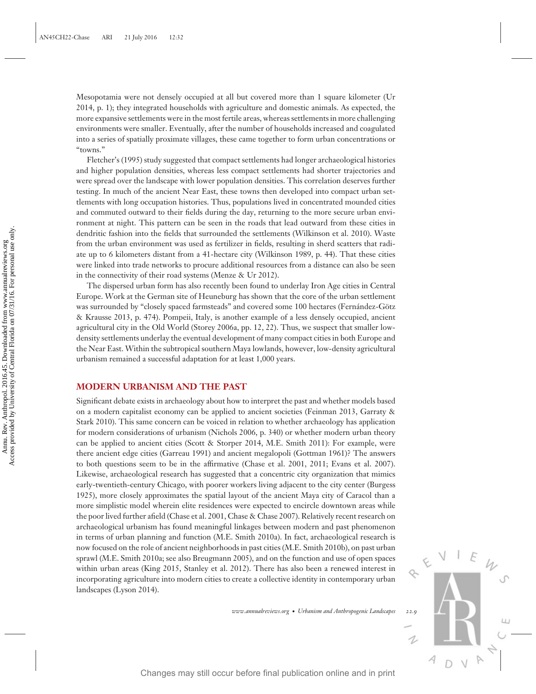Mesopotamia were not densely occupied at all but covered more than 1 square kilometer (Ur 2014, p. 1); they integrated households with agriculture and domestic animals. As expected, the more expansive settlements were in the most fertile areas, whereas settlements in more challenging environments were smaller. Eventually, after the number of households increased and coagulated into a series of spatially proximate villages, these came together to form urban concentrations or "towns."

Fletcher's (1995) study suggested that compact settlements had longer archaeological histories and higher population densities, whereas less compact settlements had shorter trajectories and were spread over the landscape with lower population densities. This correlation deserves further testing. In much of the ancient Near East, these towns then developed into compact urban settlements with long occupation histories. Thus, populations lived in concentrated mounded cities and commuted outward to their fields during the day, returning to the more secure urban environment at night. This pattern can be seen in the roads that lead outward from these cities in dendritic fashion into the fields that surrounded the settlements (Wilkinson et al. 2010). Waste from the urban environment was used as fertilizer in fields, resulting in sherd scatters that radiate up to 6 kilometers distant from a 41-hectare city (Wilkinson 1989, p. 44). That these cities were linked into trade networks to procure additional resources from a distance can also be seen in the connectivity of their road systems (Menze & Ur 2012).

The dispersed urban form has also recently been found to underlay Iron Age cities in Central Europe. Work at the German site of Heuneburg has shown that the core of the urban settlement was surrounded by "closely spaced farmsteads" and covered some 100 hectares (Fernández-Götz & Krausse 2013, p. 474). Pompeii, Italy, is another example of a less densely occupied, ancient agricultural city in the Old World (Storey 2006a, pp. 12, 22). Thus, we suspect that smaller lowdensity settlements underlay the eventual development of many compact cities in both Europe and the Near East. Within the subtropical southern Maya lowlands, however, low-density agricultural urbanism remained a successful adaptation for at least 1,000 years.

# **MODERN URBANISM AND THE PAST**

Significant debate exists in archaeology about how to interpret the past and whether models based on a modern capitalist economy can be applied to ancient societies (Feinman 2013, Garraty & Stark 2010). This same concern can be voiced in relation to whether archaeology has application for modern considerations of urbanism (Nichols 2006, p. 340) or whether modern urban theory can be applied to ancient cities (Scott & Storper 2014, M.E. Smith 2011): For example, were there ancient edge cities (Garreau 1991) and ancient megalopoli (Gottman 1961)? The answers to both questions seem to be in the affirmative (Chase et al. 2001, 2011; Evans et al. 2007). Likewise, archaeological research has suggested that a concentric city organization that mimics early-twentieth-century Chicago, with poorer workers living adjacent to the city center (Burgess 1925), more closely approximates the spatial layout of the ancient Maya city of Caracol than a more simplistic model wherein elite residences were expected to encircle downtown areas while the poor lived further afield (Chase et al. 2001, Chase & Chase 2007). Relatively recent research on archaeological urbanism has found meaningful linkages between modern and past phenomenon in terms of urban planning and function (M.E. Smith 2010a). In fact, archaeological research is now focused on the role of ancient neighborhoods in past cities (M.E. Smith 2010b), on past urban sprawl (M.E. Smith 2010a; see also Breugmann 2005), and on the function and use of open spaces within urban areas (King 2015, Stanley et al. 2012). There has also been a renewed interest in incorporating agriculture into modern cities to create a collective identity in contemporary urban landscapes (Lyson 2014). Control (achieve and in the final publication online and in print Annual publication of an anthropology persisting from a 41-bit and in print and in print Annual print Annual print Annual print Annual publication online a

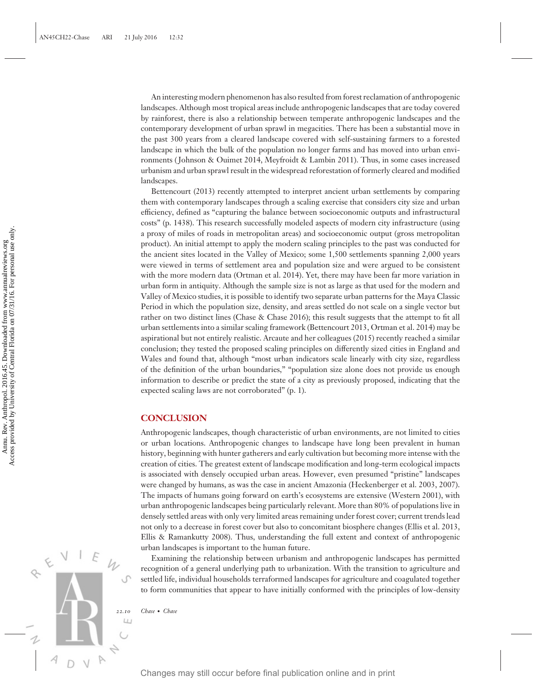An interesting modern phenomenon has also resulted from forest reclamation of anthropogenic landscapes. Although most tropical areas include anthropogenic landscapes that are today covered by rainforest, there is also a relationship between temperate anthropogenic landscapes and the contemporary development of urban sprawl in megacities. There has been a substantial move in the past 300 years from a cleared landscape covered with self-sustaining farmers to a forested landscape in which the bulk of the population no longer farms and has moved into urban environments ( Johnson & Ouimet 2014, Meyfroidt & Lambin 2011). Thus, in some cases increased urbanism and urban sprawl result in the widespread reforestation of formerly cleared and modified landscapes.

Bettencourt (2013) recently attempted to interpret ancient urban settlements by comparing them with contemporary landscapes through a scaling exercise that considers city size and urban efficiency, defined as "capturing the balance between socioeconomic outputs and infrastructural costs" (p. 1438). This research successfully modeled aspects of modern city infrastructure (using a proxy of miles of roads in metropolitan areas) and socioeconomic output (gross metropolitan product). An initial attempt to apply the modern scaling principles to the past was conducted for the ancient sites located in the Valley of Mexico; some 1,500 settlements spanning 2,000 years were viewed in terms of settlement area and population size and were argued to be consistent with the more modern data (Ortman et al. 2014). Yet, there may have been far more variation in urban form in antiquity. Although the sample size is not as large as that used for the modern and Valley of Mexico studies, it is possible to identify two separate urban patterns for the Maya Classic Period in which the population size, density, and areas settled do not scale on a single vector but rather on two distinct lines (Chase & Chase 2016); this result suggests that the attempt to fit all urban settlements into a similar scaling framework (Bettencourt 2013, Ortman et al. 2014) may be aspirational but not entirely realistic. Arcaute and her colleagues (2015) recently reached a similar conclusion; they tested the proposed scaling principles on differently sized cities in England and Wales and found that, although "most urban indicators scale linearly with city size, regardless of the definition of the urban boundaries," "population size alone does not provide us enough information to describe or predict the state of a city as previously proposed, indicating that the expected scaling laws are not corroborated" (p. 1). Fig. 2013 a proximation of changes may have a still occur by the model of consequence of the stress for the state in the state in the state in the state in the state in the state in the state in the state in the state in

#### **CONCLUSION**

Anthropogenic landscapes, though characteristic of urban environments, are not limited to cities or urban locations. Anthropogenic changes to landscape have long been prevalent in human history, beginning with hunter gatherers and early cultivation but becoming more intense with the creation of cities. The greatest extent of landscape modification and long-term ecological impacts is associated with densely occupied urban areas. However, even presumed "pristine" landscapes were changed by humans, as was the case in ancient Amazonia (Heckenberger et al. 2003, 2007). The impacts of humans going forward on earth's ecosystems are extensive (Western 2001), with urban anthropogenic landscapes being particularly relevant. More than 80% of populations live in densely settled areas with only very limited areas remaining under forest cover; current trends lead not only to a decrease in forest cover but also to concomitant biosphere changes (Ellis et al. 2013, Ellis & Ramankutty 2008). Thus, understanding the full extent and context of anthropogenic urban landscapes is important to the human future.

Examining the relationship between urbanism and anthropogenic landscapes has permitted recognition of a general underlying path to urbanization. With the transition to agriculture and settled life, individual households terraformed landscapes for agriculture and coagulated together to form communities that appear to have initially conformed with the principles of low-density

*22.10 Chase* · *Chase*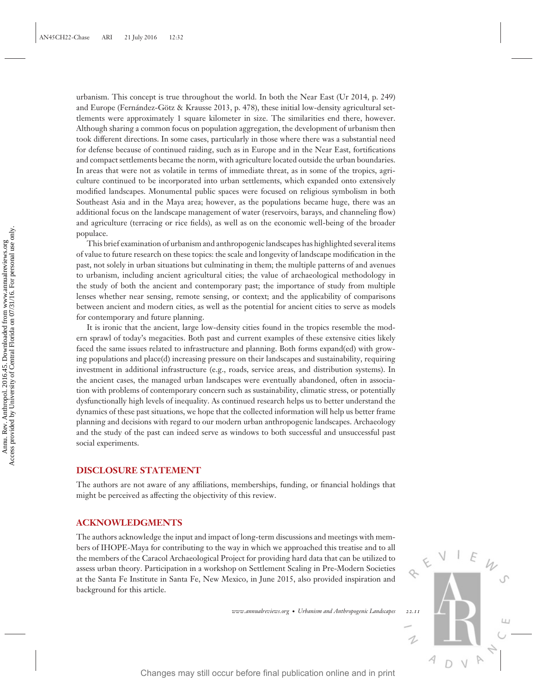urbanism. This concept is true throughout the world. In both the Near East (Ur 2014, p. 249) and Europe (Fernández-Götz & Krausse 2013, p. 478), these initial low-density agricultural settlements were approximately 1 square kilometer in size. The similarities end there, however. Although sharing a common focus on population aggregation, the development of urbanism then took different directions. In some cases, particularly in those where there was a substantial need for defense because of continued raiding, such as in Europe and in the Near East, fortifications and compact settlements became the norm, with agriculture located outside the urban boundaries. In areas that were not as volatile in terms of immediate threat, as in some of the tropics, agriculture continued to be incorporated into urban settlements, which expanded onto extensively modified landscapes. Monumental public spaces were focused on religious symbolism in both Southeast Asia and in the Maya area; however, as the populations became huge, there was an additional focus on the landscape management of water (reservoirs, barays, and channeling flow) and agriculture (terracing or rice fields), as well as on the economic well-being of the broader populace.

This brief examination of urbanism and anthropogenic landscapes has highlighted several items of value to future research on these topics: the scale and longevity of landscape modification in the past, not solely in urban situations but culminating in them; the multiple patterns of and avenues to urbanism, including ancient agricultural cities; the value of archaeological methodology in the study of both the ancient and contemporary past; the importance of study from multiple lenses whether near sensing, remote sensing, or context; and the applicability of comparisons between ancient and modern cities, as well as the potential for ancient cities to serve as models for contemporary and future planning.

It is ironic that the ancient, large low-density cities found in the tropics resemble the modern sprawl of today's megacities. Both past and current examples of these extensive cities likely faced the same issues related to infrastructure and planning. Both forms expand(ed) with growing populations and place(d) increasing pressure on their landscapes and sustainability, requiring investment in additional infrastructure (e.g., roads, service areas, and distribution systems). In the ancient cases, the managed urban landscapes were eventually abandoned, often in association with problems of contemporary concern such as sustainability, climatic stress, or potentially dysfunctionally high levels of inequality. As continued research helps us to better understand the dynamics of these past situations, we hope that the collected information will help us better frame planning and decisions with regard to our modern urban anthropogenic landscapes. Archaeology and the study of the past can indeed serve as windows to both successful and unsuccessful past social experiments. Payabroades may still occur before final publication online and in principly of Hambour and in principle publication in the state of studients in the bandon of the study of both the ancient and contemporary past, the ampt

#### **DISCLOSURE STATEMENT**

The authors are not aware of any affiliations, memberships, funding, or financial holdings that might be perceived as affecting the objectivity of this review.

#### **ACKNOWLEDGMENTS**

The authors acknowledge the input and impact of long-term discussions and meetings with members of IHOPE-Maya for contributing to the way in which we approached this treatise and to all the members of the Caracol Archaeological Project for providing hard data that can be utilized to assess urban theory. Participation in a workshop on Settlement Scaling in Pre-Modern Societies at the Santa Fe Institute in Santa Fe, New Mexico, in June 2015, also provided inspiration and background for this article.

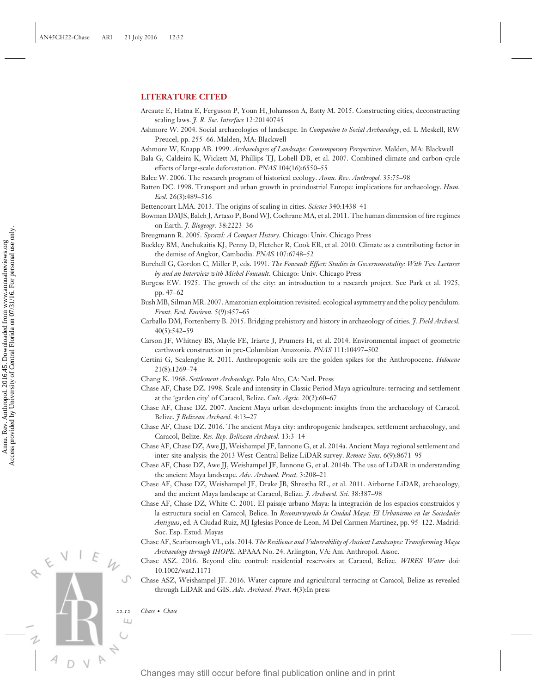# **LITERATURE CITED**

- Arcaute E, Hatna E, Ferguson P, Youn H, Johansson A, Batty M. 2015. Constructing cities, deconstructing scaling laws. *J. R. Soc. Interface* 12:20140745
- Ashmore W. 2004. Social archaeologies of landscape. In *Companion to Social Archaeology*, ed. L Meskell, RW Preucel, pp. 255–66. Malden, MA: Blackwell
- Ashmore W, Knapp AB. 1999. *Archaeologies of Landscape: Contemporary Perspectives*. Malden, MA: Blackwell
- Bala G, Caldeira K, Wickett M, Phillips TJ, Lobell DB, et al. 2007. Combined climate and carbon-cycle effects of large-scale deforestation. *PNAS* 104(16):6550–55
- Balee W. 2006. The research program of historical ecology. *Annu. Rev. Anthropol.* 35:75–98
- Batten DC. 1998. Transport and urban growth in preindustrial Europe: implications for archaeology. *Hum. Ecol.* 26(3):489–516
- Bettencourt LMA. 2013. The origins of scaling in cities. *Science* 340:1438–41
- Bowman DMJS, Balch J, Artaxo P, Bond WJ, Cochrane MA, et al. 2011. The human dimension of fire regimes on Earth. *J. Biogeogr.* 38:2223–36
- Breugmann R. 2005. *Sprawl: A Compact History*. Chicago: Univ. Chicago Press
- Buckley BM, Anchukaitis KJ, Penny D, Fletcher R, Cook ER, et al. 2010. Climate as a contributing factor in the demise of Angkor, Cambodia. *PNAS* 107:6748–52
- Burchell G, Gordon C, Miller P, eds. 1991. *The Foucault Effect: Studies in Governmentality: With Two Lectures by and an Interview with Michel Foucault*. Chicago: Univ. Chicago Press
- Burgess EW. 1925. The growth of the city: an introduction to a research project. See Park et al. 1925, pp. 47–62
- Bush MB, Silman MR. 2007. Amazonian exploitation revisited: ecological asymmetry and the policy pendulum. *Front. Ecol. Environ.* 5(9):457–65
- Carballo DM, Fortenberry B. 2015. Bridging prehistory and history in archaeology of cities. *J. Field Archaeol.* 40(5):542–59
- Carson JF, Whitney BS, Mayle FE, Iriarte J, Prumers H, et al. 2014. Environmental impact of geometric earthwork construction in pre-Columbian Amazonia. *PNAS* 111:10497–502
- Certini G, Scalenghe R. 2011. Anthropogenic soils are the golden spikes for the Anthropocene. *Holocene* 21(8):1269–74
- Chang K. 1968. *Settlement Archaeology*. Palo Alto, CA: Natl. Press
- Chase AF, Chase DZ. 1998. Scale and intensity in Classic Period Maya agriculture: terracing and settlement at the 'garden city' of Caracol, Belize. *Cult. Agric.* 20(2):60–67
- Chase AF, Chase DZ. 2007. Ancient Maya urban development: insights from the archaeology of Caracol, Belize. *J Belizean Archaeol*. 4:13–27
- Chase AF, Chase DZ. 2016. The ancient Maya city: anthropogenic landscapes, settlement archaeology, and Caracol, Belize. *Res. Rep. Belizean Archaeol.* 13:3–14
- Chase AF, Chase DZ, Awe JJ, Weishampel JF, Iannone G, et al. 2014a. Ancient Maya regional settlement and inter-site analysis: the 2013 West-Central Belize LiDAR survey. *Remote Sens*. 6(9):8671–95
- Chase AF, Chase DZ, Awe JJ, Weishampel JF, Iannone G, et al. 2014b. The use of LiDAR in understanding the ancient Maya landscape. *Adv. Archaeol. Pract.* 3:208–21
- Chase AF, Chase DZ, Weishampel JF, Drake JB, Shrestha RL, et al. 2011. Airborne LiDAR, archaeology, and the ancient Maya landscape at Caracol, Belize. *J. Archaeol. Sci.* 38:387–98
- Chase AF, Chase DZ, White C. 2001. El paisaje urbano Maya: la integracion de los espacios construidos y ´ la estructura social en Caracol, Belice. In *Reconstruyendo la Ciudad Maya: El Urbanismo en las Sociedades Antiguas*, ed. A Ciudad Ruiz, MJ Iglesias Ponce de Leon, M Del Carmen Martinez, pp. 95–122. Madrid: Soc. Esp. Estud. Mayas
- Chase AF, Scarborough VL, eds. 2014. *The Resilience and Vulnerability of Ancient Landscapes: Transforming Maya Archaeology through IHOPE*. APAAA No. 24. Arlington, VA: Am. Anthropol. Assoc.
- Chase ASZ. 2016. Beyond elite control: residential reservoirs at Caracol, Belize. *WIRES Water* doi: 10.1002/wat2.1171
- Chase ASZ, Weishampel JF. 2016. Water capture and agricultural terracing at Caracol, Belize as revealed through LiDAR and GIS. *Adv. Archaeol. Pract.* 4(3):In press

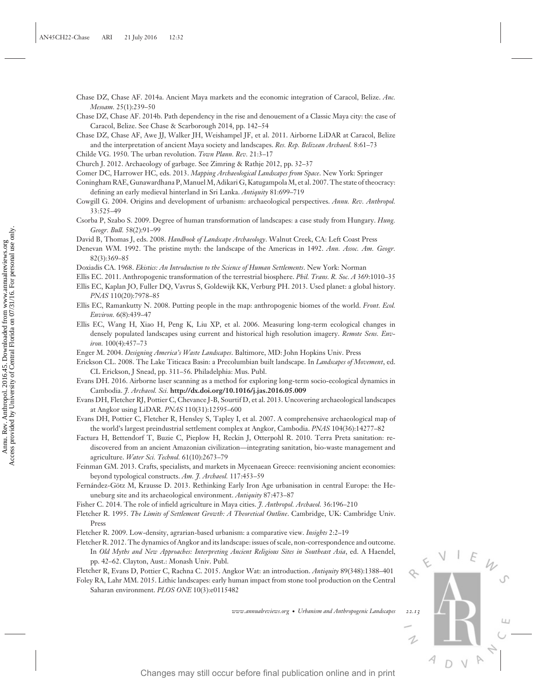- Chase DZ, Chase AF. 2014a. Ancient Maya markets and the economic integration of Caracol, Belize. *Anc. Mesoam.* 25(1):239–50
- Chase DZ, Chase AF. 2014b. Path dependency in the rise and denouement of a Classic Maya city: the case of Caracol, Belize. See Chase & Scarborough 2014, pp. 142–54
- Chase DZ, Chase AF, Awe JJ, Walker JH, Weishampel JF, et al. 2011. Airborne LiDAR at Caracol, Belize and the interpretation of ancient Maya society and landscapes. *Res. Rep. Belizean Archaeol.* 8:61–73
- Childe VG. 1950. The urban revolution. *Town Plann. Rev.* 21:3–17
- Church J. 2012. Archaeology of garbage. See Zimring & Rathje 2012, pp. 32–37
- Comer DC, Harrower HC, eds. 2013. *Mapping Archaeological Landscapes from Space*. New York: Springer
- Coningham RAE, Gunawardhana P, Manuel M, Adikari G, Katugampola M, et al. 2007. The state of theocracy: defining an early medieval hinterland in Sri Lanka. *Antiquity* 81:699–719
- Cowgill G. 2004. Origins and development of urbanism: archaeological perspectives. *Annu. Rev. Anthropol.* 33:525–49
- Csorba P, Szabo S. 2009. Degree of human transformation of landscapes: a case study from Hungary. *Hung. Geogr. Bull.* 58(2):91–99

David B, Thomas J, eds. 2008. *Handbook of Landscape Archaeology*. Walnut Creek, CA: Left Coast Press

- Denevan WM. 1992. The pristine myth: the landscape of the Americas in 1492. *Ann. Assoc. Am. Geogr.* 82(3):369–85
- Doxiadis CA. 1968. *Ekistics: An Introduction to the Science of Human Settlements*. New York: Norman
- Ellis EC. 2011. Anthropogenic transformation of the terrestrial biosphere. *Phil. Trans. R. Soc. A* 369:1010–35
- Ellis EC, Kaplan JO, Fuller DQ, Vavrus S, Goldewijk KK, Verburg PH. 2013. Used planet: a global history. *PNAS* 110(20):7978–85
- Ellis EC, Ramankutty N. 2008. Putting people in the map: anthropogenic biomes of the world. *Front. Ecol. Environ.* 6(8):439–47
- Ellis EC, Wang H, Xiao H, Peng K, Liu XP, et al. 2006. Measuring long-term ecological changes in densely populated landscapes using current and historical high resolution imagery. *Remote Sens. Environ.* 100(4):457–73
- Enger M. 2004. *Designing America's Waste Landscapes*. Baltimore, MD: John Hopkins Univ. Press
- Erickson CL. 2008. The Lake Titicaca Basin: a Precolumbian built landscape. In *Landscapes of Movement*, ed. CL Erickson, J Snead, pp. 311–56. Philadelphia: Mus. Publ.
- Evans DH. 2016. Airborne laser scanning as a method for exploring long-term socio-ecological dynamics in Cambodia. *J. Archaeol. Sci.* **http://dx.doi.org/10.1016/j.jas.2016.05.009**
- Evans DH, Fletcher RJ, Pottier C, Chevance J-B, Sourtif D, et al. 2013. Uncovering archaeological landscapes at Angkor using LiDAR. *PNAS* 110(31):12595–600
- Evans DH, Pottier C, Fletcher R, Hensley S, Tapley I, et al. 2007. A comprehensive archaeological map of the world's largest preindustrial settlement complex at Angkor, Cambodia. *PNAS* 104(36):14277–82
- Factura H, Bettendorf T, Buzie C, Pieplow H, Reckin J, Otterpohl R. 2010. Terra Preta sanitation: rediscovered from an ancient Amazonian civilization—integrating sanitation, bio-waste management and agriculture. *Water Sci. Technol.* 61(10):2673–79 Changes may still occur before final public at the principal publication of the and in print Annual publication of the principal publication of the Changes of the Mannet Annual Changes are the still of the Contral publica
	- Feinman GM. 2013. Crafts, specialists, and markets in Mycenaean Greece: reenvisioning ancient economies: beyond typological constructs. *Am. J. Archaeol.* 117:453–59
	- Fernández-Götz M, Krausse D. 2013. Rethinking Early Iron Age urbanisation in central Europe: the Heuneburg site and its archaeological environment. *Antiquity* 87:473–87
	- Fisher C. 2014. The role of infield agriculture in Maya cities. *J. Anthropol. Archaeol.* 36:196–210
	- Fletcher R. 1995. *The Limits of Settlement Growth: A Theoretical Outline*. Cambridge, UK: Cambridge Univ. Press
	- Fletcher R. 2009. Low-density, agrarian-based urbanism: a comparative view. *Insights* 2:2–19
	- Fletcher R. 2012. The dynamics of Angkor and its landscape: issues of scale, non-correspondence and outcome. In *Old Myths and New Approaches: Interpreting Ancient Religious Sites in Southeast Asia*, ed. A Haendel, pp. 42–62. Clayton, Aust.: Monash Univ. Publ.
	- Fletcher R, Evans D, Pottier C, Rachna C. 2015. Angkor Wat: an introduction. *Antiquity* 89(348):1388–401
	- Foley RA, Lahr MM. 2015. Lithic landscapes: early human impact from stone tool production on the Central Saharan environment. *PLOS ONE* 10(3):e0115482

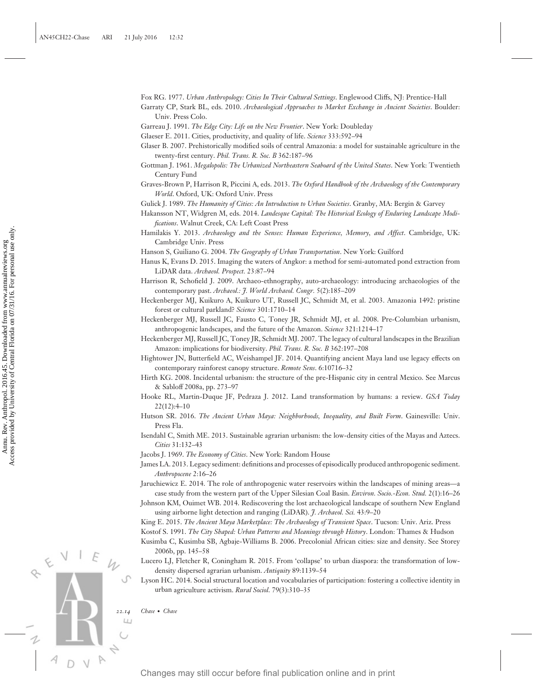- Fox RG. 1977. *Urban Anthropology: Cities In Their Cultural Settings*. Englewood Cliffs, NJ: Prentice-Hall
- Garraty CP, Stark BL, eds. 2010. *Archaeological Approaches to Market Exchange in Ancient Societies*. Boulder: Univ. Press Colo.
- Garreau J. 1991. *The Edge City: Life on the New Frontier*. New York: Doubleday
- Glaeser E. 2011. Cities, productivity, and quality of life. *Science* 333:592–94
- Glaser B. 2007. Prehistorically modified soils of central Amazonia: a model for sustainable agriculture in the twenty-first century. *Phil. Trans. R. Soc. B* 362:187–96
- Gottman J. 1961. *Megalopolis: The Urbanized Northeastern Seaboard of the United States*. New York: Twentieth Century Fund
- Graves-Brown P, Harrison R, Piccini A, eds. 2013. *The Oxford Handbook of the Archaeology of the Contemporary World*. Oxford, UK: Oxford Univ. Press

Gulick J. 1989. *The Humanity of Cities: An Introduction to Urban Societies*. Granby, MA: Bergin & Garvey

- Hakansson NT, Widgren M, eds. 2014. *Landesque Capital: The Historical Ecology of Enduring Landscape Modifications*. Walnut Creek, CA: Left Coast Press
- Hamilakis Y. 2013. *Archaeology and the Senses: Human Experience, Memory, and Affect*. Cambridge, UK: Cambridge Univ. Press

Hanson S, Guiliano G. 2004. *The Geography of Urban Transportation*. New York: Guilford

- Hanus K, Evans D. 2015. Imaging the waters of Angkor: a method for semi-automated pond extraction from LiDAR data. *Archaeol. Prospect.* 23:87–94
- Harrison R, Schofield J. 2009. Archaeo-ethnography, auto-archaeology: introducing archaeologies of the contemporary past. *Archaeol.: J. World Archaeol. Congr.* 5(2):185–209
- Heckenberger MJ, Kuikuro A, Kuikuro UT, Russell JC, Schmidt M, et al. 2003. Amazonia 1492: pristine forest or cultural parkland? *Science* 301:1710–14
- Heckenberger MJ, Russell JC, Fausto C, Toney JR, Schmidt MJ, et al. 2008. Pre-Columbian urbanism, anthropogenic landscapes, and the future of the Amazon. *Science* 321:1214–17
- Heckenberger MJ, Russell JC, Toney JR, Schmidt MJ. 2007. The legacy of cultural landscapes in the Brazilian Amazon: implications for biodiversity. *Phil. Trans. R. Soc. B* 362:197–208
- Hightower JN, Butterfield AC, Weishampel JF. 2014. Quantifying ancient Maya land use legacy effects on contemporary rainforest canopy structure. *Remote Sens*. 6:10716–32
- Hirth KG. 2008. Incidental urbanism: the structure of the pre-Hispanic city in central Mexico. See Marcus & Sabloff 2008a, pp. 273–97
- Hooke RL, Martin-Duque JF, Pedraza J. 2012. Land transformation by humans: a review. *GSA Today*  $22(12):4-10$
- Hutson SR. 2016. *The Ancient Urban Maya: Neighborhoods, Inequality, and Built Form*. Gainesville: Univ. Press Fla.
- Isendahl C, Smith ME. 2013. Sustainable agrarian urbanism: the low-density cities of the Mayas and Aztecs. *Cities* 31:132–43
- Jacobs J. 1969. *The Economy of Cities*. New York: Random House
- James LA. 2013. Legacy sediment: definitions and processes of episodically produced anthropogenic sediment. *Anthropocene* 2:16–26
- Jaruchiewicz E. 2014. The role of anthropogenic water reservoirs within the landscapes of mining areas—a case study from the western part of the Upper Silesian Coal Basin. *Environ. Socio.-Econ. Stud.* 2(1):16–26
- Johnson KM, Ouimet WB. 2014. Rediscovering the lost archaeological landscape of southern New England using airborne light detection and ranging (LiDAR). *J. Archaeol. Sci.* 43:9–20

King E. 2015. *The Ancient Maya Marketplace: The Archaeology of Transient Space*. Tucson: Univ. Ariz. Press

Kostof S. 1991. *The City Shaped: Urban Patterns and Meanings through History*. London: Thames & Hudson Kusimba C, Kusimba SB, Agbaje-Williams B. 2006. Precolonial African cities: size and density. See Storey

- 2006b, pp. 145–58
- Lucero LJ, Fletcher R, Coningham R. 2015. From 'collapse' to urban diaspora: the transformation of lowdensity dispersed agrarian urbanism. *Antiquity* 89:1139–54 Changes may still occur before final publication on the controller controller in principal publication on the controller controller controller controller controller the vector controller final publication of Coelimbia by
	- Lyson HC. 2014. Social structural location and vocabularies of participation: fostering a collective identity in urban agriculture activism. *Rural Sociol*. 79(3):310–35

*22.14 Chase* · *Chase*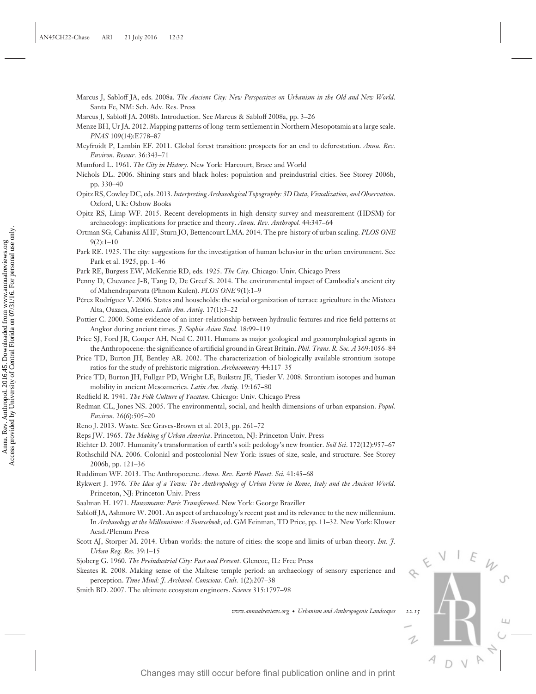Marcus J, Sabloff JA, eds. 2008a. *The Ancient City: New Perspectives on Urbanism in the Old and New World*. Santa Fe, NM: Sch. Adv. Res. Press

Marcus J, Sabloff JA. 2008b. Introduction. See Marcus & Sabloff 2008a, pp. 3–26

- Menze BH, Ur JA. 2012. Mapping patterns of long-term settlement in Northern Mesopotamia at a large scale. *PNAS* 109(14):E778–87
- Meyfroidt P, Lambin EF. 2011. Global forest transition: prospects for an end to deforestation. *Annu. Rev. Environ. Resour.* 36:343–71
- Mumford L. 1961. *The City in History*. New York: Harcourt, Brace and World
- Nichols DL. 2006. Shining stars and black holes: population and preindustrial cities. See Storey 2006b, pp. 330–40
- Opitz RS, Cowley DC, eds. 2013.*Interpreting Archaeological Topography: 3D Data, Visualization, and Observation*. Oxford, UK: Oxbow Books
- Opitz RS, Limp WF. 2015. Recent developments in high-density survey and measurement (HDSM) for archaeology: implications for practice and theory. *Annu. Rev. Anthropol.* 44:347–64
- Ortman SG, Cabaniss AHF, Sturn JO, Bettencourt LMA. 2014. The pre-history of urban scaling. *PLOS ONE* 9(2):1–10
- Park RE. 1925. The city: suggestions for the investigation of human behavior in the urban environment. See Park et al. 1925, pp. 1–46
- Park RE, Burgess EW, McKenzie RD, eds. 1925. *The City*. Chicago: Univ. Chicago Press
- Penny D, Chevance J-B, Tang D, De Greef S. 2014. The environmental impact of Cambodia's ancient city of Mahendraparvata (Phnom Kulen). *PLOS ONE* 9(1):1–9
- Pérez Rodríguez V. 2006. States and households: the social organization of terrace agriculture in the Mixteca Alta, Oaxaca, Mexico. *Latin Am. Antiq.* 17(1):3–22
- Pottier C. 2000. Some evidence of an inter-relationship between hydraulic features and rice field patterns at Angkor during ancient times. *J. Sophia Asian Stud.* 18:99–119
- Price SJ, Ford JR, Cooper AH, Neal C. 2011. Humans as major geological and geomorphological agents in the Anthropocene: the significance of artificial ground in Great Britain. *Phil. Trans. R. Soc. A* 369:1056–84
- Price TD, Burton JH, Bentley AR. 2002. The characterization of biologically available strontium isotope ratios for the study of prehistoric migration. *Archaeometry* 44:117–35
- Price TD, Burton JH, Fullgar PD, Wright LE, Buikstra JE, Tiesler V. 2008. Strontium isotopes and human mobility in ancient Mesoamerica. *Latin Am. Antiq.* 19:167–80
- Redfield R. 1941. *The Folk Culture of Yucatan*. Chicago: Univ. Chicago Press
- Redman CL, Jones NS. 2005. The environmental, social, and health dimensions of urban expansion. *Popul. Environ.* 26(6):505–20
- Reno J. 2013. Waste. See Graves-Brown et al. 2013, pp. 261–72
- Reps JW. 1965. *The Making of Urban America*. Princeton, NJ: Princeton Univ. Press
- Richter D. 2007. Humanity's transformation of earth's soil: pedology's new frontier. *Soil Sci*. 172(12):957–67
- Rothschild NA. 2006. Colonial and postcolonial New York: issues of size, scale, and structure. See Storey 2006b, pp. 121–36
- Ruddiman WF. 2013. The Anthropocene. *Annu. Rev. Earth Planet. Sci.* 41:45–68
- Rykwert J. 1976. *The Idea of a Town: The Anthropology of Urban Form in Rome, Italy and the Ancient World*. Princeton, NJ: Princeton Univ. Press
- Saalman H. 1971. *Haussmann: Paris Transformed*. New York: George Braziller
- Sabloff JA, Ashmore W. 2001. An aspect of archaeology's recent past and its relevance to the new millennium. In *Archaeology at the Millennium: A Sourcebook*, ed. GM Feinman, TD Price, pp. 11–32. New York: Kluwer Acad./Plenum Press Changes may still occur before final publication of the final publication of the principal publication of the state of the state of the state of the state of the state of the state of the state of the state of the state o
	- Scott AJ, Storper M. 2014. Urban worlds: the nature of cities: the scope and limits of urban theory. *Int. J. Urban Reg. Res.* 39:1–15
	- Sjoberg G. 1960. *The Preindustrial City: Past and Present*. Glencoe, IL: Free Press
	- Skeates R. 2008. Making sense of the Maltese temple period: an archaeology of sensory experience and perception. *Time Mind: J. Archaeol. Conscious. Cult.* 1(2):207–38
	- Smith BD. 2007. The ultimate ecosystem engineers. *Science* 315:1797–98